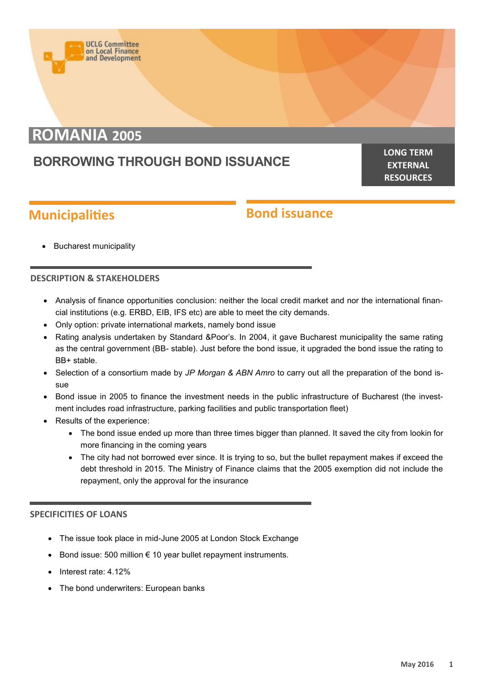# **ROMANIA 2005**

**UCLG Committee** on Local Finance<br>and Development

## **BORROWING THROUGH BOND ISSUANCE**

**LONG TERM EXTERNAL RESOURCES**

## **Municipalities**

### **Bond issuance**

Bucharest municipality

#### **DESCRIPTION & STAKEHOLDERS**

- Analysis of finance opportunities conclusion: neither the local credit market and nor the international financial institutions (e.g. ERBD, EIB, IFS etc) are able to meet the city demands.
- Only option: private international markets, namely bond issue
- Rating analysis undertaken by Standard &Poor's. In 2004, it gave Bucharest municipality the same rating as the central government (BB- stable). Just before the bond issue, it upgraded the bond issue the rating to BB+ stable.
- Selection of a consortium made by *JP Morgan & ABN Amro* to carry out all the preparation of the bond issue
- Bond issue in 2005 to finance the investment needs in the public infrastructure of Bucharest (the investment includes road infrastructure, parking facilities and public transportation fleet)
- Results of the experience:
	- The bond issue ended up more than three times bigger than planned. It saved the city from lookin for more financing in the coming years
	- The city had not borrowed ever since. It is trying to so, but the bullet repayment makes if exceed the debt threshold in 2015. The Ministry of Finance claims that the 2005 exemption did not include the repayment, only the approval for the insurance

#### **SPECIFICITIES OF LOANS**

- The issue took place in mid-June 2005 at London Stock Exchange
- Bond issue: 500 million  $\epsilon$  10 year bullet repayment instruments.
- Interest rate: 4.12%
- The bond underwriters: European banks